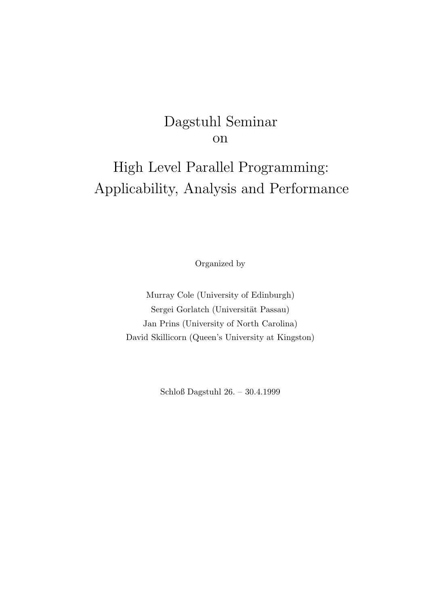## Dagstuhl Seminar on

# High Level Parallel Programming: Applicability, Analysis and Performance

Organized by

Murray Cole (University of Edinburgh) Sergei Gorlatch (Universität Passau) Jan Prins (University of North Carolina) David Skillicorn (Queen's University at Kingston)

Schloß Dagstuhl 26. – 30.4.1999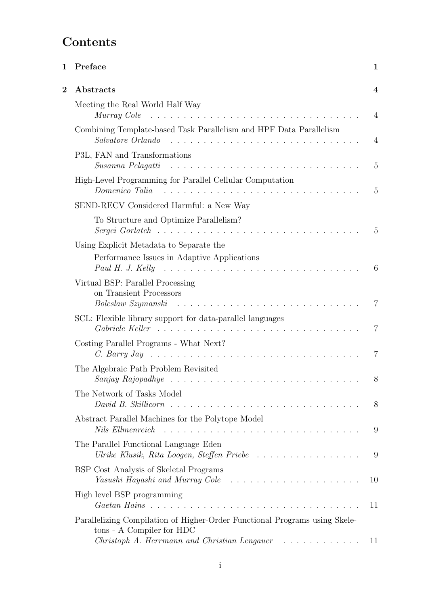# Contents

| $\mathbf 1$    | Preface                                                                                                                                                                                                                                                                             | 1              |
|----------------|-------------------------------------------------------------------------------------------------------------------------------------------------------------------------------------------------------------------------------------------------------------------------------------|----------------|
| $\overline{2}$ | Abstracts                                                                                                                                                                                                                                                                           | 4              |
|                | Meeting the Real World Half Way<br>Murray Cole                                                                                                                                                                                                                                      | $\overline{4}$ |
|                | Combining Template-based Task Parallelism and HPF Data Parallelism<br>Salvatore Orlando                                                                                                                                                                                             | $\overline{4}$ |
|                | P3L, FAN and Transformations<br>Susanna Pelagatti                                                                                                                                                                                                                                   | $\overline{5}$ |
|                | High-Level Programming for Parallel Cellular Computation<br>Domenico Talia                                                                                                                                                                                                          | $\overline{5}$ |
|                | SEND-RECV Considered Harmful: a New Way                                                                                                                                                                                                                                             |                |
|                | To Structure and Optimize Parallelism?                                                                                                                                                                                                                                              | 5              |
|                | Using Explicit Metadata to Separate the<br>Performance Issues in Adaptive Applications                                                                                                                                                                                              |                |
|                | Paul H. J. Kelly $\ldots \ldots \ldots \ldots \ldots \ldots \ldots \ldots \ldots \ldots$                                                                                                                                                                                            | 6              |
|                | Virtual BSP: Parallel Processing<br>on Transient Processors<br>Boleslaw Szymanski                                                                                                                                                                                                   | $\overline{7}$ |
|                | SCL: Flexible library support for data-parallel languages                                                                                                                                                                                                                           | 7              |
|                | Costing Parallel Programs - What Next?                                                                                                                                                                                                                                              | 7              |
|                | The Algebraic Path Problem Revisited                                                                                                                                                                                                                                                | 8              |
|                | The Network of Tasks Model<br>David B. Skillicorn                                                                                                                                                                                                                                   | 8              |
|                | Abstract Parallel Machines for the Polytope Model<br>Nils Ellmenreich runnen and contained a series and containing the series of the series of the series of the series of the series of the series of the series of the series of the series of the series of the series of the se | 9              |
|                | The Parallel Functional Language Eden<br>Ulrike Klusik, Rita Loogen, Steffen Priebe                                                                                                                                                                                                 | 9              |
|                | BSP Cost Analysis of Skeletal Programs<br>Yasushi Hayashi and Murray Cole $\ldots \ldots \ldots \ldots \ldots \ldots$                                                                                                                                                               | 10             |
|                | High level BSP programming                                                                                                                                                                                                                                                          | 11             |
|                | Parallelizing Compilation of Higher-Order Functional Programs using Skele-<br>tons - A Compiler for HDC                                                                                                                                                                             |                |
|                | Christoph A. Herrmann and Christian Lengauer<br>.                                                                                                                                                                                                                                   | 11             |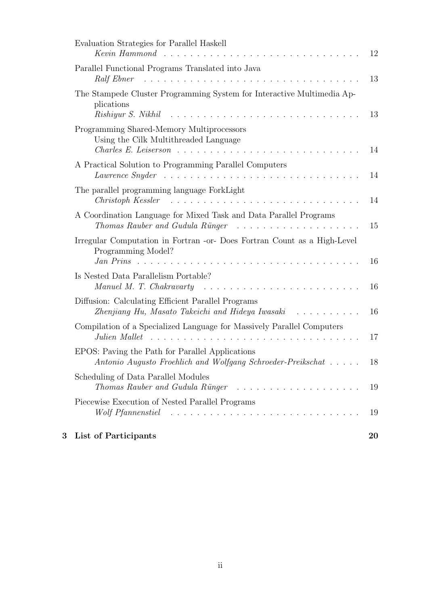| 3 | List of Participants                                                                                                                                            | 20 |
|---|-----------------------------------------------------------------------------------------------------------------------------------------------------------------|----|
|   | Piecewise Execution of Nested Parallel Programs<br>Wolf Pfannenstiel $\ldots \ldots \ldots \ldots \ldots \ldots \ldots \ldots \ldots$                           | 19 |
|   | Scheduling of Data Parallel Modules<br>Thomas Rauber and Gudula Rünger                                                                                          | 19 |
|   | EPOS: Paving the Path for Parallel Applications<br>Antonio Augusto Froehlich and Wolfgang Schroeder-Preikschat                                                  | 18 |
|   | Compilation of a Specialized Language for Massively Parallel Computers<br>Julien Mallet $\ldots \ldots \ldots \ldots \ldots \ldots \ldots \ldots \ldots \ldots$ | 17 |
|   | Diffusion: Calculating Efficient Parallel Programs<br>Zhenjiang Hu, Masato Takeichi and Hideya Iwasaki                                                          | 16 |
|   | Is Nested Data Parallelism Portable?<br>Manuel M. T. Chakravarty                                                                                                | 16 |
|   | Irregular Computation in Fortran -or- Does Fortran Count as a High-Level<br>Programming Model?<br>Jan Prins                                                     | 16 |
|   | A Coordination Language for Mixed Task and Data Parallel Programs<br>Thomas Rauber and Gudula Rünger                                                            | 15 |
|   | The parallel programming language ForkLight<br>Christoph Kessler                                                                                                | 14 |
|   | A Practical Solution to Programming Parallel Computers<br>Lawrence Snyder $\ldots \ldots \ldots \ldots \ldots \ldots \ldots \ldots \ldots \ldots$               | 14 |
|   | Programming Shared-Memory Multiprocessors<br>Using the Cilk Multithreaded Language                                                                              | 14 |
|   | The Stampede Cluster Programming System for Interactive Multimedia Ap-<br>plications<br>Rishiyur S. Nikhil                                                      | 13 |
|   | Parallel Functional Programs Translated into Java                                                                                                               | 13 |
|   | Evaluation Strategies for Parallel Haskell<br>$Keyin$ Hammond                                                                                                   | 12 |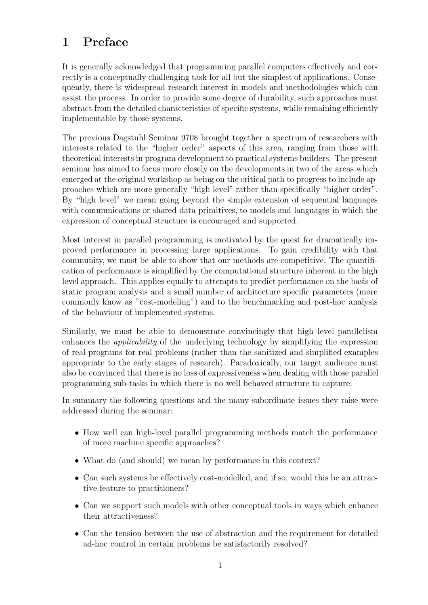## 1 Preface

It is generally acknowledged that programming parallel computers effectively and correctly is a conceptually challenging task for all but the simplest of applications. Consequently, there is widespread research interest in models and methodologies which can assist the process. In order to provide some degree of durability, such approaches must abstract from the detailed characteristics of specific systems, while remaining efficiently implementable by those systems.

The previous Dagstuhl Seminar 9708 brought together a spectrum of researchers with interests related to the "higher order" aspects of this area, ranging from those with theoretical interests in program development to practical systems builders. The present seminar has aimed to focus more closely on the developments in two of the areas which emerged at the original workshop as being on the critical path to progress to include approaches which are more generally "high level" rather than specifically "higher order". By "high level" we mean going beyond the simple extension of sequential languages with communications or shared data primitives, to models and languages in which the expression of conceptual structure is encouraged and supported.

Most interest in parallel programming is motivated by the quest for dramatically improved performance in processing large applications. To gain credibility with that community, we must be able to show that our methods are competitive. The quantification of performance is simplified by the computational structure inherent in the high level approach. This applies equally to attempts to predict performance on the basis of static program analysis and a small number of architecture specific parameters (more commonly know as "cost-modeling") and to the benchmarking and post-hoc analysis of the behaviour of implemented systems.

Similarly, we must be able to demonstrate convincingly that high level parallelism enhances the applicability of the underlying technology by simplifying the expression of real programs for real problems (rather than the sanitized and simplified examples appropriate to the early stages of research). Paradoxically, our target audience must also be convinced that there is no loss of expressiveness when dealing with those parallel programming sub-tasks in which there is no well behaved structure to capture.

In summary the following questions and the many subordinate issues they raise were addressed during the seminar:

- How well can high-level parallel programming methods match the performance of more machine specific approaches?
- What do (and should) we mean by performance in this context?
- Can such systems be effectively cost-modelled, and if so, would this be an attractive feature to practitioners?
- Can we support such models with other conceptual tools in ways which enhance their attractiveness?
- Can the tension between the use of abstraction and the requirement for detailed ad-hoc control in certain problems be satisfactorily resolved?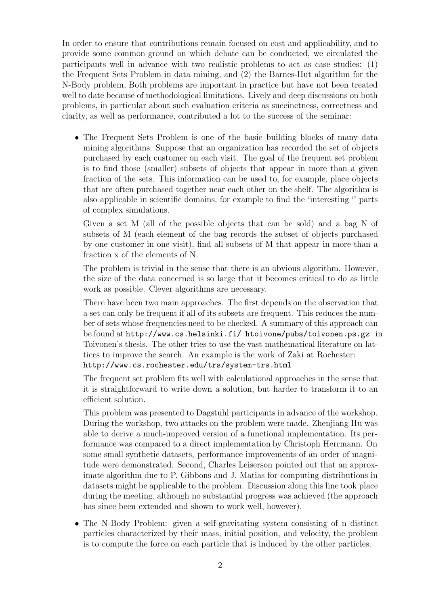In order to ensure that contributions remain focused on cost and applicability, and to provide some common ground on which debate can be conducted, we circulated the participants well in advance with two realistic problems to act as case studies: (1) the Frequent Sets Problem in data mining, and (2) the Barnes-Hut algorithm for the N-Body problem, Both problems are important in practice but have not been treated well to date because of methodological limitations. Lively and deep discussions on both problems, in particular about such evaluation criteria as succinctness, correctness and clarity, as well as performance, contributed a lot to the success of the seminar:

• The Frequent Sets Problem is one of the basic building blocks of many data mining algorithms. Suppose that an organization has recorded the set of objects purchased by each customer on each visit. The goal of the frequent set problem is to find those (smaller) subsets of objects that appear in more than a given fraction of the sets. This information can be used to, for example, place objects that are often purchased together near each other on the shelf. The algorithm is also applicable in scientific domains, for example to find the 'interesting '' parts of complex simulations.

Given a set M (all of the possible objects that can be sold) and a bag N of subsets of M (each element of the bag records the subset of objects purchased by one customer in one visit), find all subsets of M that appear in more than a fraction x of the elements of N.

The problem is trivial in the sense that there is an obvious algorithm. However, the size of the data concerned is so large that it becomes critical to do as little work as possible. Clever algorithms are necessary.

There have been two main approaches. The first depends on the observation that a set can only be frequent if all of its subsets are frequent. This reduces the number of sets whose frequencies need to be checked. A summary of this approach can be found at http://www.cs.helsinki.fi/ htoivone/pubs/toivonen.ps.gz in Toivonen's thesis. The other tries to use the vast mathematical literature on lattices to improve the search. An example is the work of Zaki at Rochester:

http://www.cs.rochester.edu/trs/system-trs.html

The frequent set problem fits well with calculational approaches in the sense that it is straightforward to write down a solution, but harder to transform it to an efficient solution.

This problem was presented to Dagstuhl participants in advance of the workshop. During the workshop, two attacks on the problem were made. Zhenjiang Hu was able to derive a much-improved version of a functional implementation. Its performance was compared to a direct implementation by Christoph Herrmann. On some small synthetic datasets, performance improvements of an order of magnitude were demonstrated. Second, Charles Leiserson pointed out that an approximate algorithm due to P. Gibbons and J. Matias for computing distributions in datasets might be applicable to the problem. Discussion along this line took place during the meeting, although no substantial progress was achieved (the approach has since been extended and shown to work well, however).

• The N-Body Problem: given a self-gravitating system consisting of n distinct particles characterized by their mass, initial position, and velocity, the problem is to compute the force on each particle that is induced by the other particles.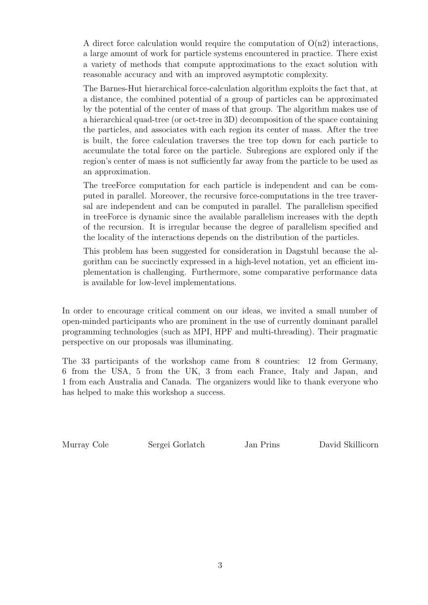A direct force calculation would require the computation of  $O(n2)$  interactions, a large amount of work for particle systems encountered in practice. There exist a variety of methods that compute approximations to the exact solution with reasonable accuracy and with an improved asymptotic complexity.

The Barnes-Hut hierarchical force-calculation algorithm exploits the fact that, at a distance, the combined potential of a group of particles can be approximated by the potential of the center of mass of that group. The algorithm makes use of a hierarchical quad-tree (or oct-tree in 3D) decomposition of the space containing the particles, and associates with each region its center of mass. After the tree is built, the force calculation traverses the tree top down for each particle to accumulate the total force on the particle. Subregions are explored only if the region's center of mass is not sufficiently far away from the particle to be used as an approximation.

The treeForce computation for each particle is independent and can be computed in parallel. Moreover, the recursive force-computations in the tree traversal are independent and can be computed in parallel. The parallelism specified in treeForce is dynamic since the available parallelism increases with the depth of the recursion. It is irregular because the degree of parallelism specified and the locality of the interactions depends on the distribution of the particles.

This problem has been suggested for consideration in Dagstuhl because the algorithm can be succinctly expressed in a high-level notation, yet an efficient implementation is challenging. Furthermore, some comparative performance data is available for low-level implementations.

In order to encourage critical comment on our ideas, we invited a small number of open-minded participants who are prominent in the use of currently dominant parallel programming technologies (such as MPI, HPF and multi-threading). Their pragmatic perspective on our proposals was illuminating.

The 33 participants of the workshop came from 8 countries: 12 from Germany, 6 from the USA, 5 from the UK, 3 from each France, Italy and Japan, and 1 from each Australia and Canada. The organizers would like to thank everyone who has helped to make this workshop a success.

Murray Cole Sergei Gorlatch Jan Prins David Skillicorn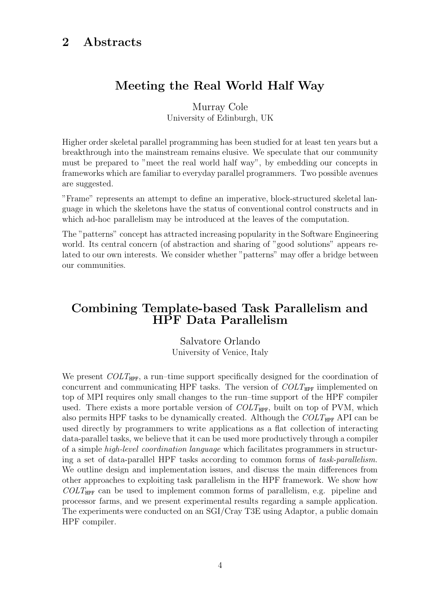### 2 Abstracts

### Meeting the Real World Half Way

Murray Cole University of Edinburgh, UK

Higher order skeletal parallel programming has been studied for at least ten years but a breakthrough into the mainstream remains elusive. We speculate that our community must be prepared to "meet the real world half way", by embedding our concepts in frameworks which are familiar to everyday parallel programmers. Two possible avenues are suggested.

"Frame" represents an attempt to define an imperative, block-structured skeletal language in which the skeletons have the status of conventional control constructs and in which ad-hoc parallelism may be introduced at the leaves of the computation.

The "patterns" concept has attracted increasing popularity in the Software Engineering world. Its central concern (of abstraction and sharing of "good solutions" appears related to our own interests. We consider whether "patterns" may offer a bridge between our communities.

### Combining Template-based Task Parallelism and HPF Data Parallelism

Salvatore Orlando University of Venice, Italy

We present  $COLT_{HPF}$ , a run–time support specifically designed for the coordination of concurrent and communicating HPF tasks. The version of  $COLT_{HPF}$  iimplemented on top of MPI requires only small changes to the run–time support of the HPF compiler used. There exists a more portable version of  $COLT_{HPF}$ , built on top of PVM, which also permits HPF tasks to be dynamically created. Although the  $COLT_{HPF}$  API can be used directly by programmers to write applications as a flat collection of interacting data-parallel tasks, we believe that it can be used more productively through a compiler of a simple high-level coordination language which facilitates programmers in structuring a set of data-parallel HPF tasks according to common forms of task-parallelism. We outline design and implementation issues, and discuss the main differences from other approaches to exploiting task parallelism in the HPF framework. We show how  $COLT_{HPF}$  can be used to implement common forms of parallelism, e.g. pipeline and processor farms, and we present experimental results regarding a sample application. The experiments were conducted on an SGI/Cray T3E using Adaptor, a public domain HPF compiler.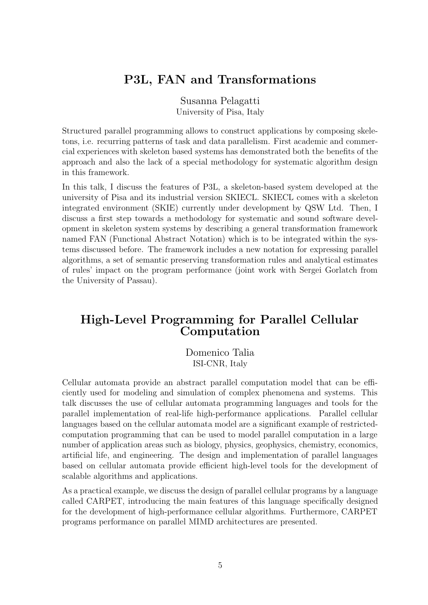### P3L, FAN and Transformations

Susanna Pelagatti University of Pisa, Italy

Structured parallel programming allows to construct applications by composing skeletons, i.e. recurring patterns of task and data parallelism. First academic and commercial experiences with skeleton based systems has demonstrated both the benefits of the approach and also the lack of a special methodology for systematic algorithm design in this framework.

In this talk, I discuss the features of P3L, a skeleton-based system developed at the university of Pisa and its industrial version SKIECL. SKIECL comes with a skeleton integrated environment (SKIE) currently under development by QSW Ltd. Then, I discuss a first step towards a methodology for systematic and sound software development in skeleton system systems by describing a general transformation framework named FAN (Functional Abstract Notation) which is to be integrated within the systems discussed before. The framework includes a new notation for expressing parallel algorithms, a set of semantic preserving transformation rules and analytical estimates of rules' impact on the program performance (joint work with Sergei Gorlatch from the University of Passau).

### High-Level Programming for Parallel Cellular Computation

Domenico Talia ISI-CNR, Italy

Cellular automata provide an abstract parallel computation model that can be efficiently used for modeling and simulation of complex phenomena and systems. This talk discusses the use of cellular automata programming languages and tools for the parallel implementation of real-life high-performance applications. Parallel cellular languages based on the cellular automata model are a significant example of restrictedcomputation programming that can be used to model parallel computation in a large number of application areas such as biology, physics, geophysics, chemistry, economics, artificial life, and engineering. The design and implementation of parallel languages based on cellular automata provide efficient high-level tools for the development of scalable algorithms and applications.

As a practical example, we discuss the design of parallel cellular programs by a language called CARPET, introducing the main features of this language specifically designed for the development of high-performance cellular algorithms. Furthermore, CARPET programs performance on parallel MIMD architectures are presented.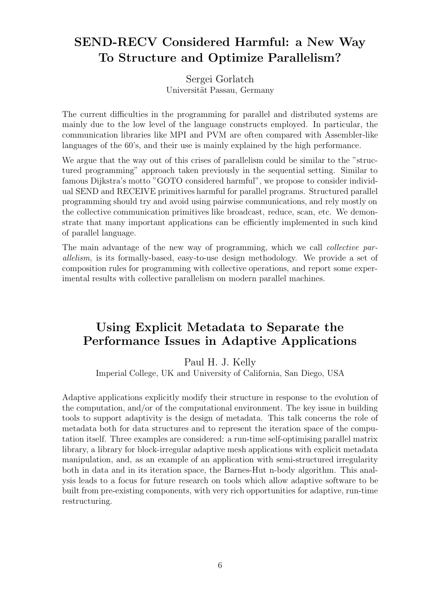### SEND-RECV Considered Harmful: a New Way To Structure and Optimize Parallelism?

Sergei Gorlatch Universität Passau, Germany

The current difficulties in the programming for parallel and distributed systems are mainly due to the low level of the language constructs employed. In particular, the communication libraries like MPI and PVM are often compared with Assembler-like languages of the 60's, and their use is mainly explained by the high performance.

We argue that the way out of this crises of parallelism could be similar to the "structured programming" approach taken previously in the sequential setting. Similar to famous Dijkstra's motto "GOTO considered harmful", we propose to consider individual SEND and RECEIVE primitives harmful for parallel programs. Structured parallel programming should try and avoid using pairwise communications, and rely mostly on the collective communication primitives like broadcast, reduce, scan, etc. We demonstrate that many important applications can be efficiently implemented in such kind of parallel language.

The main advantage of the new way of programming, which we call *collective par*allelism, is its formally-based, easy-to-use design methodology. We provide a set of composition rules for programming with collective operations, and report some experimental results with collective parallelism on modern parallel machines.

### Using Explicit Metadata to Separate the Performance Issues in Adaptive Applications

Paul H. J. Kelly

Imperial College, UK and University of California, San Diego, USA

Adaptive applications explicitly modify their structure in response to the evolution of the computation, and/or of the computational environment. The key issue in building tools to support adaptivity is the design of metadata. This talk concerns the role of metadata both for data structures and to represent the iteration space of the computation itself. Three examples are considered: a run-time self-optimising parallel matrix library, a library for block-irregular adaptive mesh applications with explicit metadata manipulation, and, as an example of an application with semi-structured irregularity both in data and in its iteration space, the Barnes-Hut n-body algorithm. This analysis leads to a focus for future research on tools which allow adaptive software to be built from pre-existing components, with very rich opportunities for adaptive, run-time restructuring.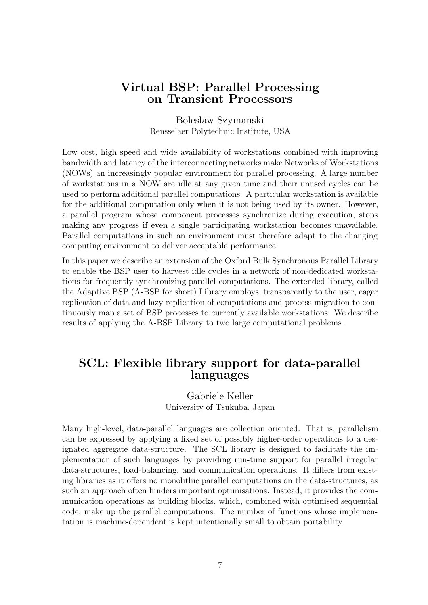### Virtual BSP: Parallel Processing on Transient Processors

Boleslaw Szymanski Rensselaer Polytechnic Institute, USA

Low cost, high speed and wide availability of workstations combined with improving bandwidth and latency of the interconnecting networks make Networks of Workstations (NOWs) an increasingly popular environment for parallel processing. A large number of workstations in a NOW are idle at any given time and their unused cycles can be used to perform additional parallel computations. A particular workstation is available for the additional computation only when it is not being used by its owner. However, a parallel program whose component processes synchronize during execution, stops making any progress if even a single participating workstation becomes unavailable. Parallel computations in such an environment must therefore adapt to the changing computing environment to deliver acceptable performance.

In this paper we describe an extension of the Oxford Bulk Synchronous Parallel Library to enable the BSP user to harvest idle cycles in a network of non-dedicated workstations for frequently synchronizing parallel computations. The extended library, called the Adaptive BSP (A-BSP for short) Library employs, transparently to the user, eager replication of data and lazy replication of computations and process migration to continuously map a set of BSP processes to currently available workstations. We describe results of applying the A-BSP Library to two large computational problems.

### SCL: Flexible library support for data-parallel languages

Gabriele Keller University of Tsukuba, Japan

Many high-level, data-parallel languages are collection oriented. That is, parallelism can be expressed by applying a fixed set of possibly higher-order operations to a designated aggregate data-structure. The SCL library is designed to facilitate the implementation of such languages by providing run-time support for parallel irregular data-structures, load-balancing, and communication operations. It differs from existing libraries as it offers no monolithic parallel computations on the data-structures, as such an approach often hinders important optimisations. Instead, it provides the communication operations as building blocks, which, combined with optimised sequential code, make up the parallel computations. The number of functions whose implementation is machine-dependent is kept intentionally small to obtain portability.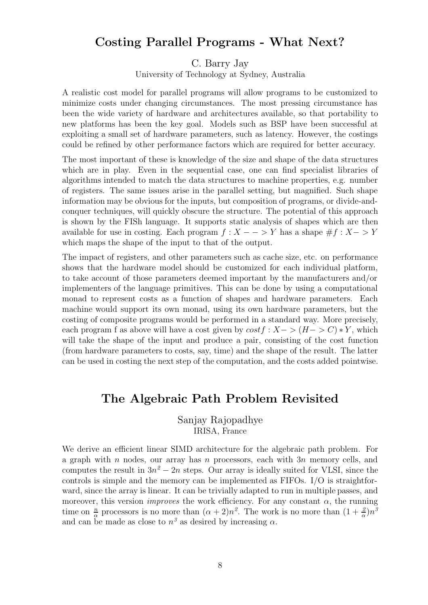### Costing Parallel Programs - What Next?

C. Barry Jay

University of Technology at Sydney, Australia

A realistic cost model for parallel programs will allow programs to be customized to minimize costs under changing circumstances. The most pressing circumstance has been the wide variety of hardware and architectures available, so that portability to new platforms has been the key goal. Models such as BSP have been successful at exploiting a small set of hardware parameters, such as latency. However, the costings could be refined by other performance factors which are required for better accuracy.

The most important of these is knowledge of the size and shape of the data structures which are in play. Even in the sequential case, one can find specialist libraries of algorithms intended to match the data structures to machine properties, e.g. number of registers. The same issues arise in the parallel setting, but magnified. Such shape information may be obvious for the inputs, but composition of programs, or divide-andconquer techniques, will quickly obscure the structure. The potential of this approach is shown by the FISh language. It supports static analysis of shapes which are then available for use in costing. Each program  $f : X - \rightarrow Y$  has a shape  $\# f : X - \rightarrow Y$ which maps the shape of the input to that of the output.

The impact of registers, and other parameters such as cache size, etc. on performance shows that the hardware model should be customized for each individual platform, to take account of those parameters deemed important by the manufacturers and/or implementers of the language primitives. This can be done by using a computational monad to represent costs as a function of shapes and hardware parameters. Each machine would support its own monad, using its own hardware parameters, but the costing of composite programs would be performed in a standard way. More precisely, each program f as above will have a cost given by  $costf : X -> (H->C) * Y$ , which will take the shape of the input and produce a pair, consisting of the cost function (from hardware parameters to costs, say, time) and the shape of the result. The latter can be used in costing the next step of the computation, and the costs added pointwise.

### The Algebraic Path Problem Revisited

Sanjay Rajopadhye IRISA, France

We derive an efficient linear SIMD architecture for the algebraic path problem. For a graph with n nodes, our array has n processors, each with  $3n$  memory cells, and computes the result in  $3n^2 - 2n$  steps. Our array is ideally suited for VLSI, since the controls is simple and the memory can be implemented as FIFOs. I/O is straightforward, since the array is linear. It can be trivially adapted to run in multiple passes, and moreover, this version *improves* the work efficiency. For any constant  $\alpha$ , the running time on  $\frac{n}{\alpha}$  processors is no more than  $(\alpha + 2)n^2$ . The work is no more than  $(1 + \frac{2}{\alpha})n^3$ and can be made as close to  $n^3$  as desired by increasing  $\alpha$ .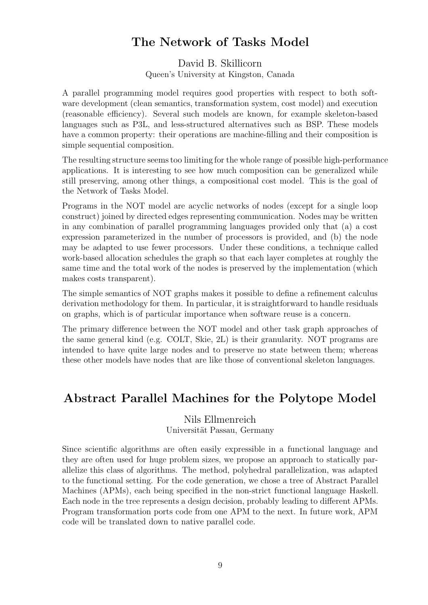### The Network of Tasks Model

David B. Skillicorn Queen's University at Kingston, Canada

A parallel programming model requires good properties with respect to both software development (clean semantics, transformation system, cost model) and execution (reasonable efficiency). Several such models are known, for example skeleton-based languages such as P3L, and less-structured alternatives such as BSP. These models have a common property: their operations are machine-filling and their composition is simple sequential composition.

The resulting structure seems too limiting for the whole range of possible high-performance applications. It is interesting to see how much composition can be generalized while still preserving, among other things, a compositional cost model. This is the goal of the Network of Tasks Model.

Programs in the NOT model are acyclic networks of nodes (except for a single loop construct) joined by directed edges representing communication. Nodes may be written in any combination of parallel programming languages provided only that (a) a cost expression parameterized in the number of processors is provided, and (b) the node may be adapted to use fewer processors. Under these conditions, a technique called work-based allocation schedules the graph so that each layer completes at roughly the same time and the total work of the nodes is preserved by the implementation (which makes costs transparent).

The simple semantics of NOT graphs makes it possible to define a refinement calculus derivation methodology for them. In particular, it is straightforward to handle residuals on graphs, which is of particular importance when software reuse is a concern.

The primary difference between the NOT model and other task graph approaches of the same general kind (e.g. COLT, Skie, 2L) is their granularity. NOT programs are intended to have quite large nodes and to preserve no state between them; whereas these other models have nodes that are like those of conventional skeleton languages.

### Abstract Parallel Machines for the Polytope Model

#### Nils Ellmenreich Universität Passau, Germany

Since scientific algorithms are often easily expressible in a functional language and they are often used for huge problem sizes, we propose an approach to statically parallelize this class of algorithms. The method, polyhedral parallelization, was adapted to the functional setting. For the code generation, we chose a tree of Abstract Parallel Machines (APMs), each being specified in the non-strict functional language Haskell. Each node in the tree represents a design decision, probably leading to different APMs. Program transformation ports code from one APM to the next. In future work, APM code will be translated down to native parallel code.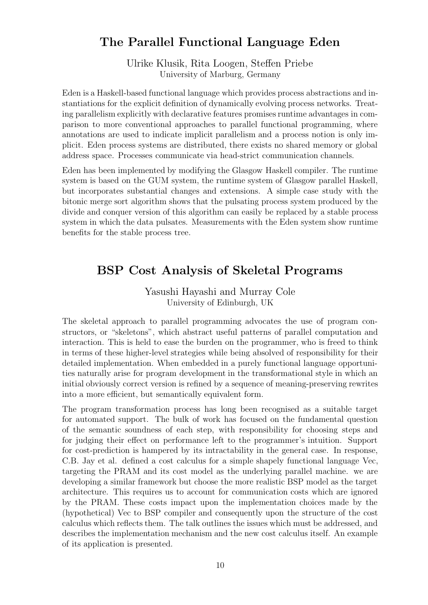### The Parallel Functional Language Eden

Ulrike Klusik, Rita Loogen, Steffen Priebe University of Marburg, Germany

Eden is a Haskell-based functional language which provides process abstractions and instantiations for the explicit definition of dynamically evolving process networks. Treating parallelism explicitly with declarative features promises runtime advantages in comparison to more conventional approaches to parallel functional programming, where annotations are used to indicate implicit parallelism and a process notion is only implicit. Eden process systems are distributed, there exists no shared memory or global address space. Processes communicate via head-strict communication channels.

Eden has been implemented by modifying the Glasgow Haskell compiler. The runtime system is based on the GUM system, the runtime system of Glasgow parallel Haskell, but incorporates substantial changes and extensions. A simple case study with the bitonic merge sort algorithm shows that the pulsating process system produced by the divide and conquer version of this algorithm can easily be replaced by a stable process system in which the data pulsates. Measurements with the Eden system show runtime benefits for the stable process tree.

### BSP Cost Analysis of Skeletal Programs

Yasushi Hayashi and Murray Cole University of Edinburgh, UK

The skeletal approach to parallel programming advocates the use of program constructors, or "skeletons", which abstract useful patterns of parallel computation and interaction. This is held to ease the burden on the programmer, who is freed to think in terms of these higher-level strategies while being absolved of responsibility for their detailed implementation. When embedded in a purely functional language opportunities naturally arise for program development in the transformational style in which an initial obviously correct version is refined by a sequence of meaning-preserving rewrites into a more efficient, but semantically equivalent form.

The program transformation process has long been recognised as a suitable target for automated support. The bulk of work has focused on the fundamental question of the semantic soundness of each step, with responsibility for choosing steps and for judging their effect on performance left to the programmer's intuition. Support for cost-prediction is hampered by its intractability in the general case. In response, C.B. Jay et al. defined a cost calculus for a simple shapely functional language Vec, targeting the PRAM and its cost model as the underlying parallel machine. we are developing a similar framework but choose the more realistic BSP model as the target architecture. This requires us to account for communication costs which are ignored by the PRAM. These costs impact upon the implementation choices made by the (hypothetical) Vec to BSP compiler and consequently upon the structure of the cost calculus which reflects them. The talk outlines the issues which must be addressed, and describes the implementation mechanism and the new cost calculus itself. An example of its application is presented.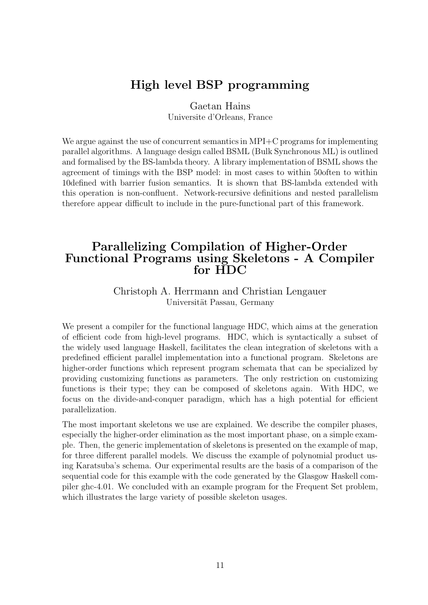### High level BSP programming

Gaetan Hains

Universite d'Orleans, France

We argue against the use of concurrent semantics in MPI+C programs for implementing parallel algorithms. A language design called BSML (Bulk Synchronous ML) is outlined and formalised by the BS-lambda theory. A library implementation of BSML shows the agreement of timings with the BSP model: in most cases to within 50often to within 10defined with barrier fusion semantics. It is shown that BS-lambda extended with this operation is non-confluent. Network-recursive definitions and nested parallelism therefore appear difficult to include in the pure-functional part of this framework.

### Parallelizing Compilation of Higher-Order Functional Programs using Skeletons - A Compiler for HDC

#### Christoph A. Herrmann and Christian Lengauer Universität Passau, Germany

We present a compiler for the functional language HDC, which aims at the generation of efficient code from high-level programs. HDC, which is syntactically a subset of the widely used language Haskell, facilitates the clean integration of skeletons with a predefined efficient parallel implementation into a functional program. Skeletons are higher-order functions which represent program schemata that can be specialized by providing customizing functions as parameters. The only restriction on customizing functions is their type; they can be composed of skeletons again. With HDC, we focus on the divide-and-conquer paradigm, which has a high potential for efficient parallelization.

The most important skeletons we use are explained. We describe the compiler phases, especially the higher-order elimination as the most important phase, on a simple example. Then, the generic implementation of skeletons is presented on the example of map, for three different parallel models. We discuss the example of polynomial product using Karatsuba's schema. Our experimental results are the basis of a comparison of the sequential code for this example with the code generated by the Glasgow Haskell compiler ghc-4.01. We concluded with an example program for the Frequent Set problem, which illustrates the large variety of possible skeleton usages.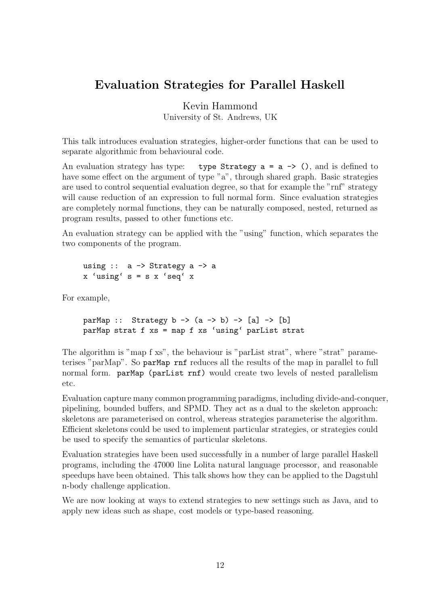### Evaluation Strategies for Parallel Haskell

Kevin Hammond

University of St. Andrews, UK

This talk introduces evaluation strategies, higher-order functions that can be used to separate algorithmic from behavioural code.

An evaluation strategy has type: type Strategy  $a = a \rightarrow ()$ , and is defined to have some effect on the argument of type "a", through shared graph. Basic strategies are used to control sequential evaluation degree, so that for example the "rnf" strategy will cause reduction of an expression to full normal form. Since evaluation strategies are completely normal functions, they can be naturally composed, nested, returned as program results, passed to other functions etc.

An evaluation strategy can be applied with the "using" function, which separates the two components of the program.

```
using \therefore a \Rightarrow Strategy a \Rightarrow a
x 'using' s = s x 'seq' x
```
For example,

parMap :: Strategy b ->  $(a \rightarrow b)$  ->  $[a]$  ->  $[b]$ parMap strat f xs = map f xs 'using' parList strat

The algorithm is "map f xs", the behaviour is "parList strat", where "strat" parameterises "parMap". So parMap rnf reduces all the results of the map in parallel to full normal form. parMap (parList rnf) would create two levels of nested parallelism etc.

Evaluation capture many common programming paradigms, including divide-and-conquer, pipelining, bounded buffers, and SPMD. They act as a dual to the skeleton approach: skeletons are parameterised on control, whereas strategies parameterise the algorithm. Efficient skeletons could be used to implement particular strategies, or strategies could be used to specify the semantics of particular skeletons.

Evaluation strategies have been used successfully in a number of large parallel Haskell programs, including the 47000 line Lolita natural language processor, and reasonable speedups have been obtained. This talk shows how they can be applied to the Dagstuhl n-body challenge application.

We are now looking at ways to extend strategies to new settings such as Java, and to apply new ideas such as shape, cost models or type-based reasoning.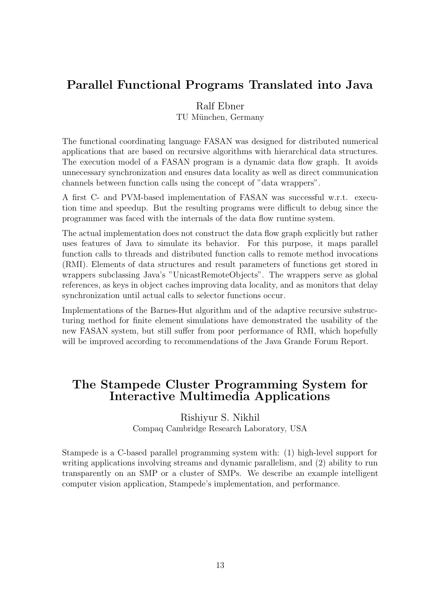### Parallel Functional Programs Translated into Java

#### Ralf Ebner

TU München, Germany

The functional coordinating language FASAN was designed for distributed numerical applications that are based on recursive algorithms with hierarchical data structures. The execution model of a FASAN program is a dynamic data flow graph. It avoids unnecessary synchronization and ensures data locality as well as direct communication channels between function calls using the concept of "data wrappers".

A first C- and PVM-based implementation of FASAN was successful w.r.t. execution time and speedup. But the resulting programs were difficult to debug since the programmer was faced with the internals of the data flow runtime system.

The actual implementation does not construct the data flow graph explicitly but rather uses features of Java to simulate its behavior. For this purpose, it maps parallel function calls to threads and distributed function calls to remote method invocations (RMI). Elements of data structures and result parameters of functions get stored in wrappers subclassing Java's "UnicastRemoteObjects". The wrappers serve as global references, as keys in object caches improving data locality, and as monitors that delay synchronization until actual calls to selector functions occur.

Implementations of the Barnes-Hut algorithm and of the adaptive recursive substructuring method for finite element simulations have demonstrated the usability of the new FASAN system, but still suffer from poor performance of RMI, which hopefully will be improved according to recommendations of the Java Grande Forum Report.

### The Stampede Cluster Programming System for Interactive Multimedia Applications

#### Rishiyur S. Nikhil Compaq Cambridge Research Laboratory, USA

Stampede is a C-based parallel programming system with: (1) high-level support for writing applications involving streams and dynamic parallelism, and (2) ability to run transparently on an SMP or a cluster of SMPs. We describe an example intelligent computer vision application, Stampede's implementation, and performance.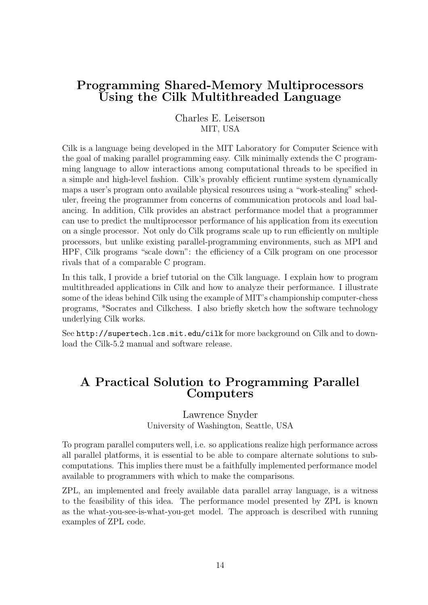### Programming Shared-Memory Multiprocessors Using the Cilk Multithreaded Language

Charles E. Leiserson MIT, USA

Cilk is a language being developed in the MIT Laboratory for Computer Science with the goal of making parallel programming easy. Cilk minimally extends the C programming language to allow interactions among computational threads to be specified in a simple and high-level fashion. Cilk's provably efficient runtime system dynamically maps a user's program onto available physical resources using a "work-stealing" scheduler, freeing the programmer from concerns of communication protocols and load balancing. In addition, Cilk provides an abstract performance model that a programmer can use to predict the multiprocessor performance of his application from its execution on a single processor. Not only do Cilk programs scale up to run efficiently on multiple processors, but unlike existing parallel-programming environments, such as MPI and HPF, Cilk programs "scale down": the efficiency of a Cilk program on one processor rivals that of a comparable C program.

In this talk, I provide a brief tutorial on the Cilk language. I explain how to program multithreaded applications in Cilk and how to analyze their performance. I illustrate some of the ideas behind Cilk using the example of MIT's championship computer-chess programs, \*Socrates and Cilkchess. I also briefly sketch how the software technology underlying Cilk works.

See http://supertech.lcs.mit.edu/cilk for more background on Cilk and to download the Cilk-5.2 manual and software release.

### A Practical Solution to Programming Parallel Computers

Lawrence Snyder

University of Washington, Seattle, USA

To program parallel computers well, i.e. so applications realize high performance across all parallel platforms, it is essential to be able to compare alternate solutions to subcomputations. This implies there must be a faithfully implemented performance model available to programmers with which to make the comparisons.

ZPL, an implemented and freely available data parallel array language, is a witness to the feasibility of this idea. The performance model presented by ZPL is known as the what-you-see-is-what-you-get model. The approach is described with running examples of ZPL code.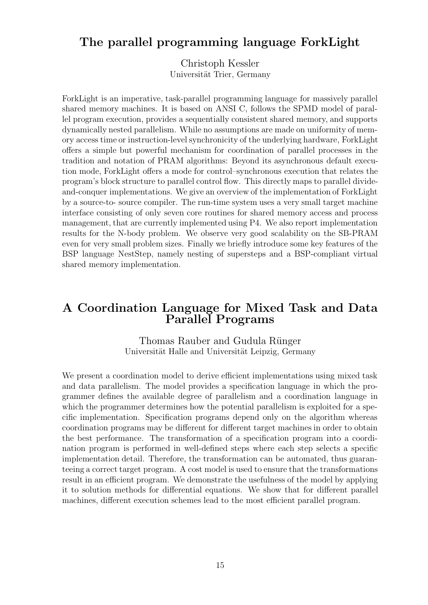### The parallel programming language ForkLight

Christoph Kessler Universität Trier, Germany

ForkLight is an imperative, task-parallel programming language for massively parallel shared memory machines. It is based on ANSI C, follows the SPMD model of parallel program execution, provides a sequentially consistent shared memory, and supports dynamically nested parallelism. While no assumptions are made on uniformity of memory access time or instruction-level synchronicity of the underlying hardware, ForkLight offers a simple but powerful mechanism for coordination of parallel processes in the tradition and notation of PRAM algorithms: Beyond its asynchronous default execution mode, ForkLight offers a mode for control–synchronous execution that relates the program's block structure to parallel control flow. This directly maps to parallel divideand-conquer implementations. We give an overview of the implementation of ForkLight by a source-to- source compiler. The run-time system uses a very small target machine interface consisting of only seven core routines for shared memory access and process management, that are currently implemented using P4. We also report implementation results for the N-body problem. We observe very good scalability on the SB-PRAM even for very small problem sizes. Finally we briefly introduce some key features of the BSP language NestStep, namely nesting of supersteps and a BSP-compliant virtual shared memory implementation.

### A Coordination Language for Mixed Task and Data Parallel Programs

Thomas Rauber and Gudula Rünger Universität Halle and Universität Leipzig, Germany

We present a coordination model to derive efficient implementations using mixed task and data parallelism. The model provides a specification language in which the programmer defines the available degree of parallelism and a coordination language in which the programmer determines how the potential parallelism is exploited for a specific implementation. Specification programs depend only on the algorithm whereas coordination programs may be different for different target machines in order to obtain the best performance. The transformation of a specification program into a coordination program is performed in well-defined steps where each step selects a specific implementation detail. Therefore, the transformation can be automated, thus guaranteeing a correct target program. A cost model is used to ensure that the transformations result in an efficient program. We demonstrate the usefulness of the model by applying it to solution methods for differential equations. We show that for different parallel machines, different execution schemes lead to the most efficient parallel program.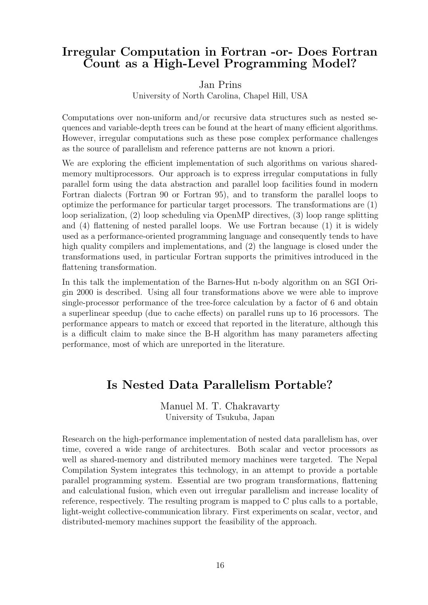### Irregular Computation in Fortran -or- Does Fortran Count as a High-Level Programming Model?

#### Jan Prins

University of North Carolina, Chapel Hill, USA

Computations over non-uniform and/or recursive data structures such as nested sequences and variable-depth trees can be found at the heart of many efficient algorithms. However, irregular computations such as these pose complex performance challenges as the source of parallelism and reference patterns are not known a priori.

We are exploring the efficient implementation of such algorithms on various sharedmemory multiprocessors. Our approach is to express irregular computations in fully parallel form using the data abstraction and parallel loop facilities found in modern Fortran dialects (Fortran 90 or Fortran 95), and to transform the parallel loops to optimize the performance for particular target processors. The transformations are (1) loop serialization, (2) loop scheduling via OpenMP directives, (3) loop range splitting and (4) flattening of nested parallel loops. We use Fortran because (1) it is widely used as a performance-oriented programming language and consequently tends to have high quality compilers and implementations, and (2) the language is closed under the transformations used, in particular Fortran supports the primitives introduced in the flattening transformation.

In this talk the implementation of the Barnes-Hut n-body algorithm on an SGI Origin 2000 is described. Using all four transformations above we were able to improve single-processor performance of the tree-force calculation by a factor of 6 and obtain a superlinear speedup (due to cache effects) on parallel runs up to 16 processors. The performance appears to match or exceed that reported in the literature, although this is a difficult claim to make since the B-H algorithm has many parameters affecting performance, most of which are unreported in the literature.

### Is Nested Data Parallelism Portable?

Manuel M. T. Chakravarty University of Tsukuba, Japan

Research on the high-performance implementation of nested data parallelism has, over time, covered a wide range of architectures. Both scalar and vector processors as well as shared-memory and distributed memory machines were targeted. The Nepal Compilation System integrates this technology, in an attempt to provide a portable parallel programming system. Essential are two program transformations, flattening and calculational fusion, which even out irregular parallelism and increase locality of reference, respectively. The resulting program is mapped to C plus calls to a portable, light-weight collective-communication library. First experiments on scalar, vector, and distributed-memory machines support the feasibility of the approach.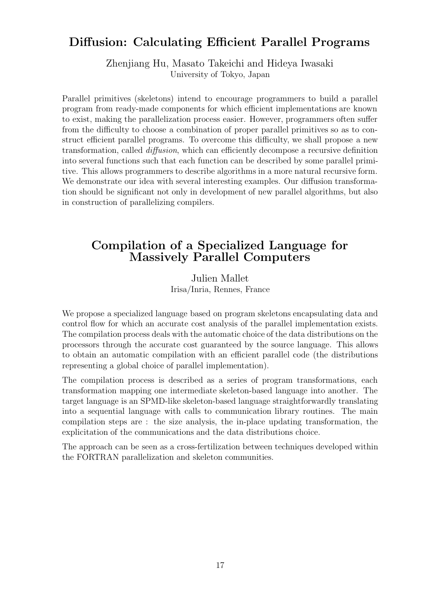### Diffusion: Calculating Efficient Parallel Programs

Zhenjiang Hu, Masato Takeichi and Hideya Iwasaki University of Tokyo, Japan

Parallel primitives (skeletons) intend to encourage programmers to build a parallel program from ready-made components for which efficient implementations are known to exist, making the parallelization process easier. However, programmers often suffer from the difficulty to choose a combination of proper parallel primitives so as to construct efficient parallel programs. To overcome this difficulty, we shall propose a new transformation, called diffusion, which can efficiently decompose a recursive definition into several functions such that each function can be described by some parallel primitive. This allows programmers to describe algorithms in a more natural recursive form. We demonstrate our idea with several interesting examples. Our diffusion transformation should be significant not only in development of new parallel algorithms, but also in construction of parallelizing compilers.

### Compilation of a Specialized Language for Massively Parallel Computers

Julien Mallet Irisa/Inria, Rennes, France

We propose a specialized language based on program skeletons encapsulating data and control flow for which an accurate cost analysis of the parallel implementation exists. The compilation process deals with the automatic choice of the data distributions on the processors through the accurate cost guaranteed by the source language. This allows to obtain an automatic compilation with an efficient parallel code (the distributions representing a global choice of parallel implementation).

The compilation process is described as a series of program transformations, each transformation mapping one intermediate skeleton-based language into another. The target language is an SPMD-like skeleton-based language straightforwardly translating into a sequential language with calls to communication library routines. The main compilation steps are : the size analysis, the in-place updating transformation, the explicitation of the communications and the data distributions choice.

The approach can be seen as a cross-fertilization between techniques developed within the FORTRAN parallelization and skeleton communities.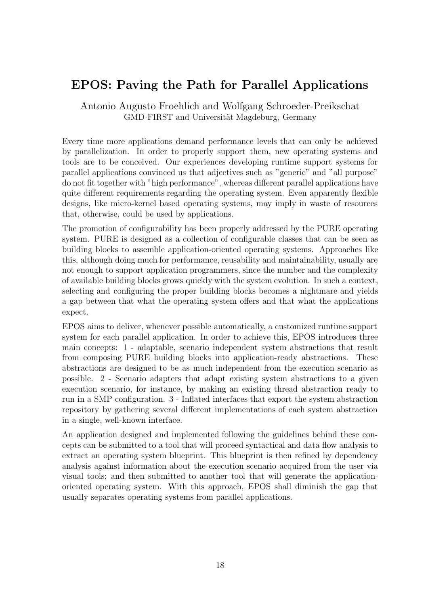### EPOS: Paving the Path for Parallel Applications

Antonio Augusto Froehlich and Wolfgang Schroeder-Preikschat GMD-FIRST and Universität Magdeburg, Germany

Every time more applications demand performance levels that can only be achieved by parallelization. In order to properly support them, new operating systems and tools are to be conceived. Our experiences developing runtime support systems for parallel applications convinced us that adjectives such as "generic" and "all purpose" do not fit together with "high performance", whereas different parallel applications have quite different requirements regarding the operating system. Even apparently flexible designs, like micro-kernel based operating systems, may imply in waste of resources that, otherwise, could be used by applications.

The promotion of configurability has been properly addressed by the PURE operating system. PURE is designed as a collection of configurable classes that can be seen as building blocks to assemble application-oriented operating systems. Approaches like this, although doing much for performance, reusability and maintainability, usually are not enough to support application programmers, since the number and the complexity of available building blocks grows quickly with the system evolution. In such a context, selecting and configuring the proper building blocks becomes a nightmare and yields a gap between that what the operating system offers and that what the applications expect.

EPOS aims to deliver, whenever possible automatically, a customized runtime support system for each parallel application. In order to achieve this, EPOS introduces three main concepts: 1 - adaptable, scenario independent system abstractions that result from composing PURE building blocks into application-ready abstractions. These abstractions are designed to be as much independent from the execution scenario as possible. 2 - Scenario adapters that adapt existing system abstractions to a given execution scenario, for instance, by making an existing thread abstraction ready to run in a SMP configuration. 3 - Inflated interfaces that export the system abstraction repository by gathering several different implementations of each system abstraction in a single, well-known interface.

An application designed and implemented following the guidelines behind these concepts can be submitted to a tool that will proceed syntactical and data flow analysis to extract an operating system blueprint. This blueprint is then refined by dependency analysis against information about the execution scenario acquired from the user via visual tools; and then submitted to another tool that will generate the applicationoriented operating system. With this approach, EPOS shall diminish the gap that usually separates operating systems from parallel applications.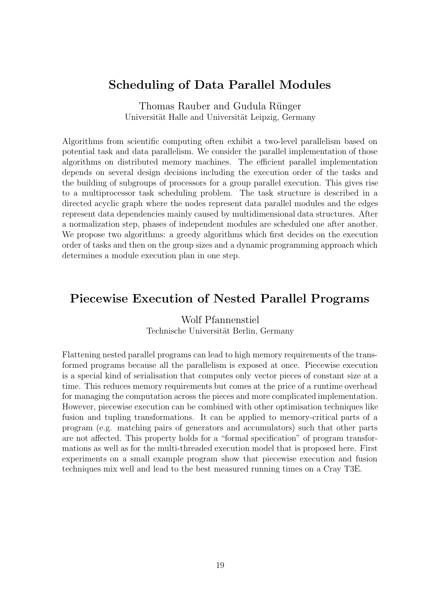### Scheduling of Data Parallel Modules

Thomas Rauber and Gudula Rünger Universität Halle and Universität Leipzig, Germany

Algorithms from scientific computing often exhibit a two-level parallelism based on potential task and data parallelism. We consider the parallel implementation of those algorithms on distributed memory machines. The efficient parallel implementation depends on several design decisions including the execution order of the tasks and the building of subgroups of processors for a group parallel execution. This gives rise to a multiprocessor task scheduling problem. The task structure is described in a directed acyclic graph where the nodes represent data parallel modules and the edges represent data dependencies mainly caused by multidimensional data structures. After a normalization step, phases of independent modules are scheduled one after another. We propose two algorithms: a greedy algorithms which first decides on the execution order of tasks and then on the group sizes and a dynamic programming approach which determines a module execution plan in one step.

### Piecewise Execution of Nested Parallel Programs

Wolf Pfannenstiel Technische Universität Berlin, Germany

Flattening nested parallel programs can lead to high memory requirements of the transformed programs because all the parallelism is exposed at once. Piecewise execution is a special kind of serialisation that computes only vector pieces of constant size at a time. This reduces memory requirements but comes at the price of a runtime overhead for managing the computation across the pieces and more complicated implementation. However, piecewise execution can be combined with other optimisation techniques like fusion and tupling transformations. It can be applied to memory-critical parts of a program (e.g. matching pairs of generators and accumulators) such that other parts are not affected. This property holds for a "formal specification" of program transformations as well as for the multi-threaded execution model that is proposed here. First experiments on a small example program show that piecewise execution and fusion techniques mix well and lead to the best measured running times on a Cray T3E.